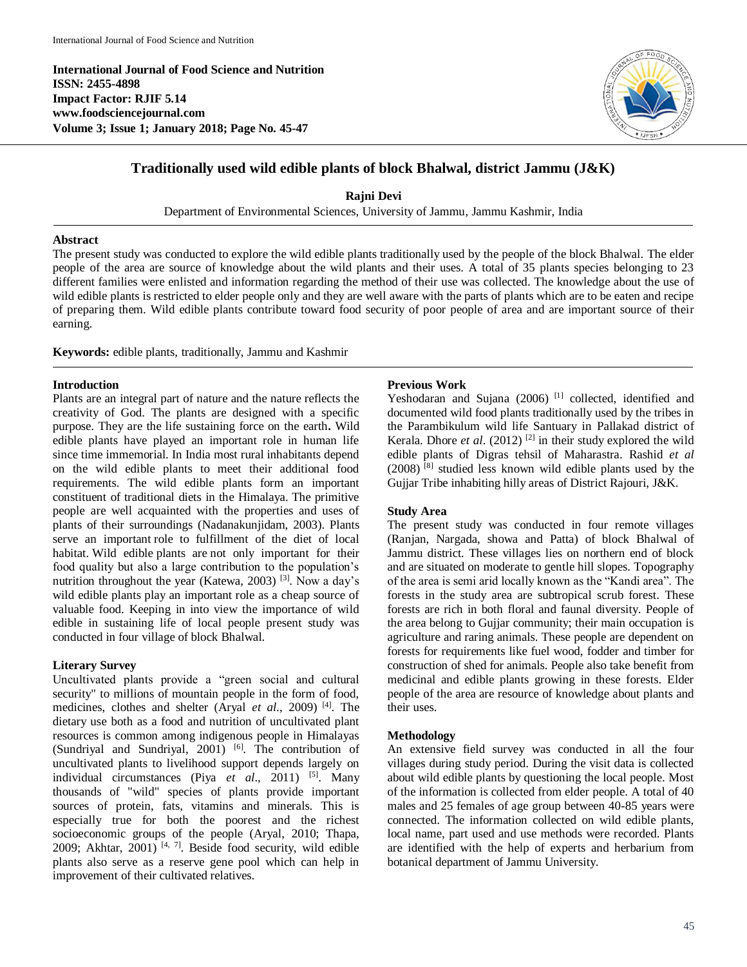**International Journal of Food Science and Nutrition ISSN: 2455-4898 Impact Factor: RJIF 5.14 www.foodsciencejournal.com Volume 3; Issue 1; January 2018; Page No. 45-47**



# **Traditionally used wild edible plants of block Bhalwal, district Jammu (J&K)**

**Rajni Devi**

Department of Environmental Sciences, University of Jammu, Jammu Kashmir, India

## **Abstract**

The present study was conducted to explore the wild edible plants traditionally used by the people of the block Bhalwal. The elder people of the area are source of knowledge about the wild plants and their uses. A total of 35 plants species belonging to 23 different families were enlisted and information regarding the method of their use was collected. The knowledge about the use of wild edible plants is restricted to elder people only and they are well aware with the parts of plants which are to be eaten and recipe of preparing them. Wild edible plants contribute toward food security of poor people of area and are important source of their earning.

**Keywords:** edible plants, traditionally, Jammu and Kashmir

#### **Introduction**

Plants are an integral part of nature and the nature reflects the creativity of God. The plants are designed with a specific purpose. They are the life sustaining force on the earth**.** Wild edible plants have played an important role in human life since time immemorial. In India most rural inhabitants depend on the wild edible plants to meet their additional food requirements. The wild edible plants form an important constituent of traditional diets in the Himalaya. The primitive people are well acquainted with the properties and uses of plants of their surroundings (Nadanakunjidam, 2003). Plants serve an important role to fulfillment of the diet of local habitat. Wild edible plants are not only important for their food quality but also a large contribution to the population's nutrition throughout the year (Katewa, 2003)<sup>[3]</sup>. Now a day's wild edible plants play an important role as a cheap source of valuable food. Keeping in into view the importance of wild edible in sustaining life of local people present study was conducted in four village of block Bhalwal.

## **Literary Survey**

Uncultivated plants provide a "green social and cultural security" to millions of mountain people in the form of food, medicines, clothes and shelter (Aryal *et al*., 2009) [4]. The dietary use both as a food and nutrition of uncultivated plant resources is common among indigenous people in Himalayas (Sundriyal and Sundriyal, 2001)<sup>[6]</sup>. The contribution of uncultivated plants to livelihood support depends largely on individual circumstances (Piya *et al*., 2011) [5]. Many thousands of "wild" species of plants provide important sources of protein, fats, vitamins and minerals. This is especially true for both the poorest and the richest socioeconomic groups of the people (Aryal, 2010; Thapa, 2009; Akhtar, 2001)<sup>[4, 7]</sup>. Beside food security, wild edible plants also serve as a reserve gene pool which can help in improvement of their cultivated relatives.

#### **Previous Work**

Yeshodaran and Sujana (2006)<sup>[1]</sup> collected, identified and documented wild food plants traditionally used by the tribes in the Parambikulum wild life Santuary in Pallakad district of Kerala. Dhore *et al.* (2012)<sup>[2]</sup> in their study explored the wild edible plants of Digras tehsil of Maharastra. Rashid *et al* (2008) [8] studied less known wild edible plants used by the Gujjar Tribe inhabiting hilly areas of District Rajouri, J&K.

## **Study Area**

The present study was conducted in four remote villages (Ranjan, Nargada, showa and Patta) of block Bhalwal of Jammu district. These villages lies on northern end of block and are situated on moderate to gentle hill slopes. Topography of the area is semi arid locally known as the "Kandi area". The forests in the study area are subtropical scrub forest. These forests are rich in both floral and faunal diversity. People of the area belong to Gujjar community; their main occupation is agriculture and raring animals. These people are dependent on forests for requirements like fuel wood, fodder and timber for construction of shed for animals. People also take benefit from medicinal and edible plants growing in these forests. Elder people of the area are resource of knowledge about plants and their uses.

#### **Methodology**

An extensive field survey was conducted in all the four villages during study period. During the visit data is collected about wild edible plants by questioning the local people. Most of the information is collected from elder people. A total of 40 males and 25 females of age group between 40-85 years were connected. The information collected on wild edible plants, local name, part used and use methods were recorded. Plants are identified with the help of experts and herbarium from botanical department of Jammu University.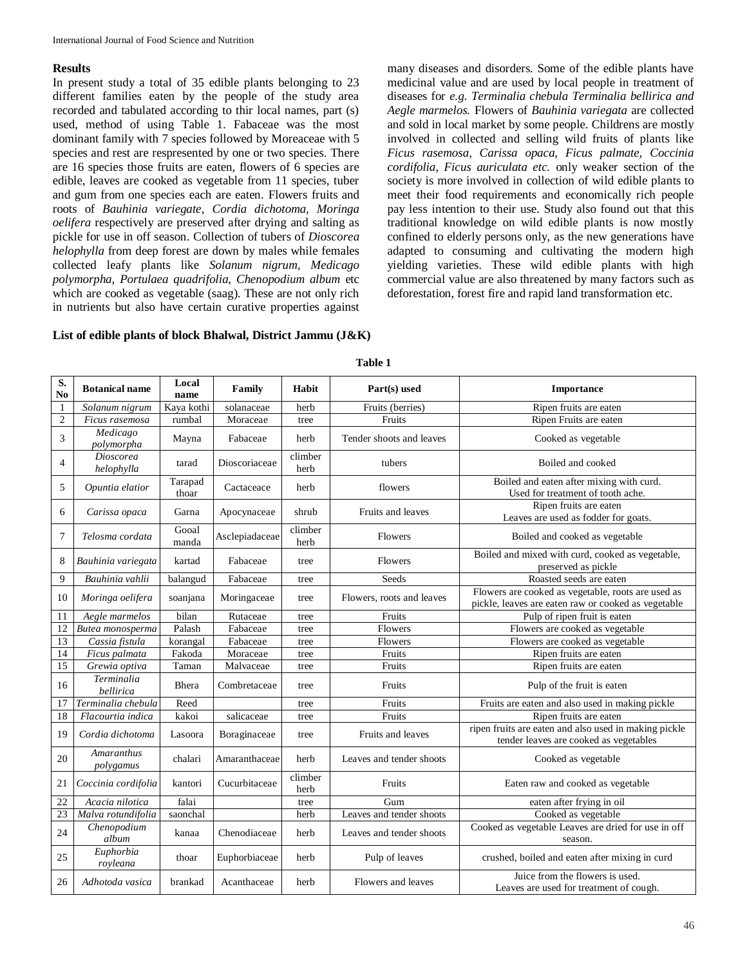# **Results**

In present study a total of 35 edible plants belonging to 23 different families eaten by the people of the study area recorded and tabulated according to thir local names, part (s) used, method of using Table 1. Fabaceae was the most dominant family with 7 species followed by Moreaceae with 5 species and rest are respresented by one or two species. There are 16 species those fruits are eaten, flowers of 6 species are edible, leaves are cooked as vegetable from 11 species, tuber and gum from one species each are eaten. Flowers fruits and roots of *Bauhinia variegate*, *Cordia dichotoma, Moringa oelifera* respectively are preserved after drying and salting as pickle for use in off season. Collection of tubers of *Dioscorea helophylla* from deep forest are down by males while females collected leafy plants like *Solanum nigrum, Medicago polymorpha, Portulaea quadrifolia, Chenopodium album* etc which are cooked as vegetable (saag). These are not only rich in nutrients but also have certain curative properties against

**List of edible plants of block Bhalwal, District Jammu (J&K)** 

many diseases and disorders. Some of the edible plants have medicinal value and are used by local people in treatment of diseases for *e.g. Terminalia chebula Terminalia bellirica and Aegle marmelos.* Flowers of *Bauhinia variegata* are collected and sold in local market by some people. Childrens are mostly involved in collected and selling wild fruits of plants like *Ficus rasemosa, Carissa opaca, Ficus palmate, Coccinia cordifolia, Ficus auriculata etc.* only weaker section of the society is more involved in collection of wild edible plants to meet their food requirements and economically rich people pay less intention to their use. Study also found out that this traditional knowledge on wild edible plants is now mostly confined to elderly persons only, as the new generations have adapted to consuming and cultivating the modern high yielding varieties. These wild edible plants with high commercial value are also threatened by many factors such as deforestation, forest fire and rapid land transformation etc.

| S.<br>N <sub>0</sub> | <b>Botanical name</b>          | Local<br>name    | Family         | Habit           | Part(s) used              | Importance                                                                                                |
|----------------------|--------------------------------|------------------|----------------|-----------------|---------------------------|-----------------------------------------------------------------------------------------------------------|
| $\mathbf{1}$         | Solanum nigrum                 | Kaya kothi       | solanaceae     | herb            | Fruits (berries)          | Ripen fruits are eaten                                                                                    |
| $\overline{2}$       | Ficus rasemosa                 | rumbal           | Moraceae       | tree            | Fruits                    | Ripen Fruits are eaten                                                                                    |
| 3                    | Medicago<br>polymorpha         | Mayna            | Fabaceae       | herb            | Tender shoots and leaves  | Cooked as vegetable                                                                                       |
| 4                    | <b>Dioscorea</b><br>helophylla | tarad            | Dioscoriaceae  | climber<br>herb | tubers                    | Boiled and cooked                                                                                         |
| 5                    | Opuntia elatior                | Tarapad<br>thoar | Cactaceace     | herb            | flowers                   | Boiled and eaten after mixing with curd.<br>Used for treatment of tooth ache.                             |
| 6                    | Carissa opaca                  | Garna            | Apocynaceae    | shrub           | Fruits and leaves         | Ripen fruits are eaten<br>Leaves are used as fodder for goats.                                            |
| 7                    | Telosma cordata                | Gooal<br>manda   | Asclepiadaceae | climber<br>herb | Flowers                   | Boiled and cooked as vegetable                                                                            |
| 8                    | Bauhinia variegata             | kartad           | Fabaceae       | tree            | Flowers                   | Boiled and mixed with curd, cooked as vegetable,<br>preserved as pickle                                   |
| $\overline{9}$       | Bauhinia vahlii                | balangud         | Fabaceae       | tree            | Seeds                     | Roasted seeds are eaten                                                                                   |
| 10                   | Moringa oelifera               | soanjana         | Moringaceae    | tree            | Flowers, roots and leaves | Flowers are cooked as vegetable, roots are used as<br>pickle, leaves are eaten raw or cooked as vegetable |
| 11                   | Aegle marmelos                 | bilan            | Rutaceae       | tree            | Fruits                    | Pulp of ripen fruit is eaten                                                                              |
| 12                   | Butea monosperma               | Palash           | Fabaceae       | tree            | Flowers                   | Flowers are cooked as vegetable                                                                           |
| 13                   | Cassia fistula                 | korangal         | Fabaceae       | tree            | Flowers                   | Flowers are cooked as vegetable                                                                           |
| 14                   | Ficus palmata                  | Fakoda           | Moraceae       | tree            | Fruits                    | Ripen fruits are eaten                                                                                    |
| $\overline{15}$      | Grewia optiva                  | Taman            | Malvaceae      | tree            | Fruits                    | Ripen fruits are eaten                                                                                    |
| 16                   | Terminalia<br>bellirica        | Bhera            | Combretaceae   | tree            | Fruits                    | Pulp of the fruit is eaten                                                                                |
| 17                   | Terminalia chebula             | Reed             |                | tree            | Fruits                    | Fruits are eaten and also used in making pickle                                                           |
| 18                   | Flacourtia indica              | kakoi            | salicaceae     | tree            | Fruits                    | Ripen fruits are eaten                                                                                    |
| 19                   | Cordia dichotoma               | Lasoora          | Boraginaceae   | tree            | Fruits and leaves         | ripen fruits are eaten and also used in making pickle<br>tender leaves are cooked as vegetables           |
| 20                   | <b>Amaranthus</b><br>polygamus | chalari          | Amaranthaceae  | herb            | Leaves and tender shoots  | Cooked as vegetable                                                                                       |
| 21                   | Coccinia cordifolia            | kantori          | Cucurbitaceae  | climber<br>herb | Fruits                    | Eaten raw and cooked as vegetable                                                                         |
| 22                   | Acacia nilotica                | falai            |                | tree            | Gum                       | eaten after frying in oil                                                                                 |
| 23                   | Malva rotundifolia             | saonchal         |                | herb            | Leaves and tender shoots  | Cooked as vegetable                                                                                       |
| 24                   | Chenopodium<br>album           | kanaa            | Chenodiaceae   | herb            | Leaves and tender shoots  | Cooked as vegetable Leaves are dried for use in off<br>season.                                            |
| 25                   | Euphorbia<br>royleana          | thoar            | Euphorbiaceae  | herb            | Pulp of leaves            | crushed, boiled and eaten after mixing in curd                                                            |
| 26                   | Adhotoda vasica                | brankad          | Acanthaceae    | herb            | Flowers and leaves        | Juice from the flowers is used.<br>Leaves are used for treatment of cough.                                |

**Table 1**